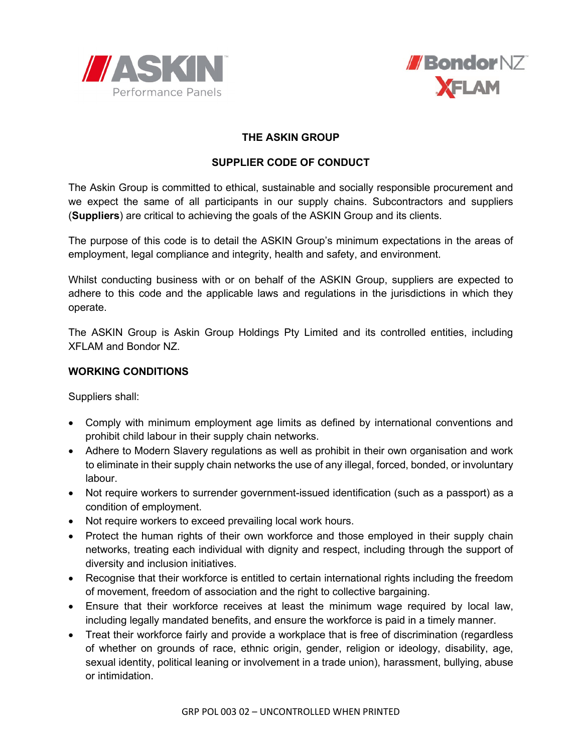



## **THE ASKIN GROUP**

# **SUPPLIER CODE OF CONDUCT**

The Askin Group is committed to ethical, sustainable and socially responsible procurement and we expect the same of all participants in our supply chains. Subcontractors and suppliers (**Suppliers**) are critical to achieving the goals of the ASKIN Group and its clients.

The purpose of this code is to detail the ASKIN Group's minimum expectations in the areas of employment, legal compliance and integrity, health and safety, and environment.

Whilst conducting business with or on behalf of the ASKIN Group, suppliers are expected to adhere to this code and the applicable laws and regulations in the jurisdictions in which they operate.

The ASKIN Group is Askin Group Holdings Pty Limited and its controlled entities, including XFLAM and Bondor NZ.

#### **WORKING CONDITIONS**

Suppliers shall:

- Comply with minimum employment age limits as defined by international conventions and prohibit child labour in their supply chain networks.
- Adhere to Modern Slavery regulations as well as prohibit in their own organisation and work to eliminate in their supply chain networks the use of any illegal, forced, bonded, or involuntary labour.
- Not require workers to surrender government-issued identification (such as a passport) as a condition of employment.
- Not require workers to exceed prevailing local work hours.
- Protect the human rights of their own workforce and those employed in their supply chain networks, treating each individual with dignity and respect, including through the support of diversity and inclusion initiatives.
- Recognise that their workforce is entitled to certain international rights including the freedom of movement, freedom of association and the right to collective bargaining.
- Ensure that their workforce receives at least the minimum wage required by local law, including legally mandated benefits, and ensure the workforce is paid in a timely manner.
- Treat their workforce fairly and provide a workplace that is free of discrimination (regardless of whether on grounds of race, ethnic origin, gender, religion or ideology, disability, age, sexual identity, political leaning or involvement in a trade union), harassment, bullying, abuse or intimidation.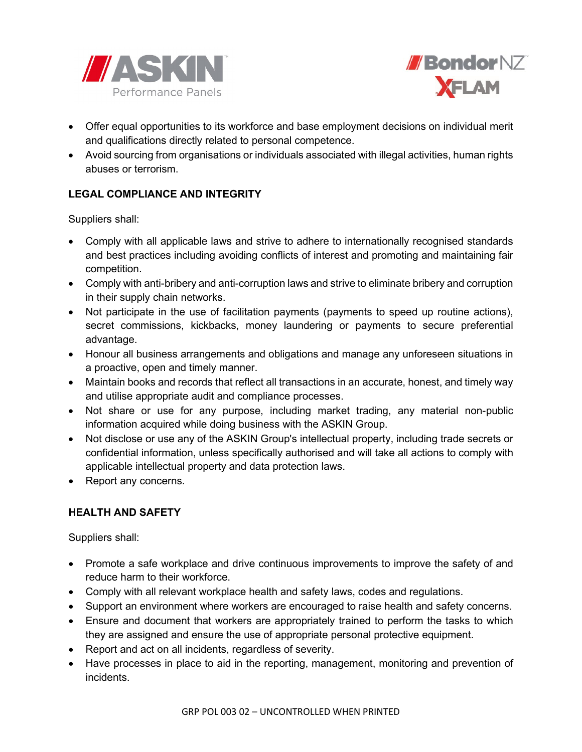



- Offer equal opportunities to its workforce and base employment decisions on individual merit and qualifications directly related to personal competence.
- Avoid sourcing from organisations or individuals associated with illegal activities, human rights abuses or terrorism.

# **LEGAL COMPLIANCE AND INTEGRITY**

Suppliers shall:

- Comply with all applicable laws and strive to adhere to internationally recognised standards and best practices including avoiding conflicts of interest and promoting and maintaining fair competition.
- Comply with anti-bribery and anti-corruption laws and strive to eliminate bribery and corruption in their supply chain networks.
- Not participate in the use of facilitation payments (payments to speed up routine actions), secret commissions, kickbacks, money laundering or payments to secure preferential advantage.
- Honour all business arrangements and obligations and manage any unforeseen situations in a proactive, open and timely manner.
- Maintain books and records that reflect all transactions in an accurate, honest, and timely way and utilise appropriate audit and compliance processes.
- Not share or use for any purpose, including market trading, any material non-public information acquired while doing business with the ASKIN Group.
- Not disclose or use any of the ASKIN Group's intellectual property, including trade secrets or confidential information, unless specifically authorised and will take all actions to comply with applicable intellectual property and data protection laws.
- Report any concerns.

### **HEALTH AND SAFETY**

Suppliers shall:

- Promote a safe workplace and drive continuous improvements to improve the safety of and reduce harm to their workforce.
- Comply with all relevant workplace health and safety laws, codes and regulations.
- Support an environment where workers are encouraged to raise health and safety concerns.
- Ensure and document that workers are appropriately trained to perform the tasks to which they are assigned and ensure the use of appropriate personal protective equipment.
- Report and act on all incidents, regardless of severity.
- Have processes in place to aid in the reporting, management, monitoring and prevention of incidents.